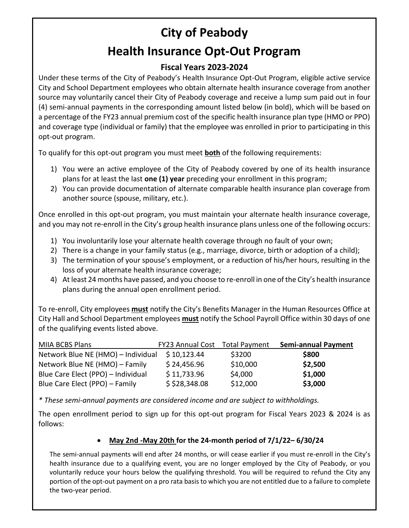## **City of Peabody Health Insurance Opt-Out Program**

#### **Fiscal Years 2023-2024**

Under these terms of the City of Peabody's Health Insurance Opt-Out Program, eligible active service City and School Department employees who obtain alternate health insurance coverage from another source may voluntarily cancel their City of Peabody coverage and receive a lump sum paid out in four (4) semi-annual payments in the corresponding amount listed below (in bold), which will be based on a percentage of the FY23 annual premium cost of the specific health insurance plan type (HMO or PPO) and coverage type (individual or family) that the employee was enrolled in prior to participating in this opt-out program.

To qualify for this opt-out program you must meet **both** of the following requirements:

- 1) You were an active employee of the City of Peabody covered by one of its health insurance plans for at least the last **one (1) year** preceding your enrollment in this program;
- 2) You can provide documentation of alternate comparable health insurance plan coverage from another source (spouse, military, etc.).

Once enrolled in this opt-out program, you must maintain your alternate health insurance coverage, and you may not re-enroll in the City's group health insurance plans unless one of the following occurs:

- 1) You involuntarily lose your alternate health coverage through no fault of your own;
- 2) There is a change in your family status (e.g., marriage, divorce, birth or adoption of a child);
- 3) The termination of your spouse's employment, or a reduction of his/her hours, resulting in the loss of your alternate health insurance coverage;
- 4) At least 24 months have passed, and you choose to re-enroll in one of the City's health insurance plans during the annual open enrollment period.

To re-enroll, City employees **must** notify the City's Benefits Manager in the Human Resources Office at City Hall and School Department employees **must** notify the School Payroll Office within 30 days of one of the qualifying events listed above.

| MIIA BCBS Plans                    | <b>FY23 Annual Cost</b> | <b>Total Payment</b> | <b>Semi-annual Payment</b> |
|------------------------------------|-------------------------|----------------------|----------------------------|
| Network Blue NE (HMO) - Individual | \$10,123.44             | \$3200               | \$800                      |
| Network Blue NE (HMO) - Family     | \$24,456.96             | \$10,000             | \$2,500                    |
| Blue Care Elect (PPO) - Individual | \$11,733.96             | \$4,000              | \$1,000                    |
| Blue Care Elect (PPO) - Family     | \$28,348.08             | \$12,000             | \$3,000                    |

*\* These semi-annual payments are considered income and are subject to withholdings.* 

The open enrollment period to sign up for this opt-out program for Fiscal Years 2023 & 2024 is as follows:

#### • **May 2nd -May 20th for the 24-month period of 7/1/22– 6/30/24**

The semi-annual payments will end after 24 months, or will cease earlier if you must re-enroll in the City's health insurance due to a qualifying event, you are no longer employed by the City of Peabody, or you voluntarily reduce your hours below the qualifying threshold. You will be required to refund the City any portion of the opt-out payment on a pro rata basis to which you are not entitled due to a failure to complete the two-year period.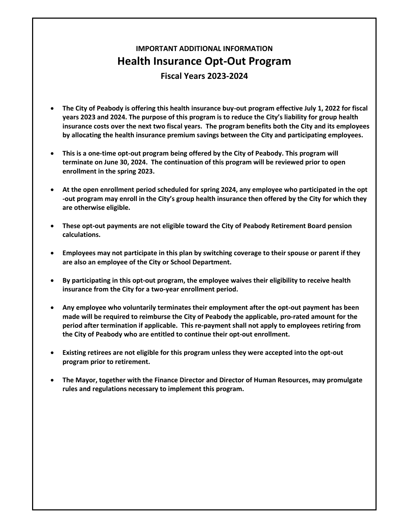### **IMPORTANT ADDITIONAL INFORMATION Health Insurance Opt-Out Program Fiscal Years 2023-2024**

- **The City of Peabody is offering this health insurance buy-out program effective July 1, 2022 for fiscal years 2023 and 2024. The purpose of this program is to reduce the City's liability for group health insurance costs over the next two fiscal years. The program benefits both the City and its employees by allocating the health insurance premium savings between the City and participating employees.**
- **This is a one-time opt-out program being offered by the City of Peabody. This program will terminate on June 30, 2024. The continuation of this program will be reviewed prior to open enrollment in the spring 2023.**
- **At the open enrollment period scheduled for spring 2024, any employee who participated in the opt -out program may enroll in the City's group health insurance then offered by the City for which they are otherwise eligible.**
- **These opt-out payments are not eligible toward the City of Peabody Retirement Board pension calculations.**
- **Employees may not participate in this plan by switching coverage to their spouse or parent if they are also an employee of the City or School Department.**
- **By participating in this opt-out program, the employee waives their eligibility to receive health insurance from the City for a two-year enrollment period.**
- **Any employee who voluntarily terminates their employment after the opt-out payment has been made will be required to reimburse the City of Peabody the applicable, pro-rated amount for the period after termination if applicable. This re-payment shall not apply to employees retiring from the City of Peabody who are entitled to continue their opt-out enrollment.**
- **Existing retirees are not eligible for this program unless they were accepted into the opt-out program prior to retirement.**
- **The Mayor, together with the Finance Director and Director of Human Resources, may promulgate rules and regulations necessary to implement this program.**